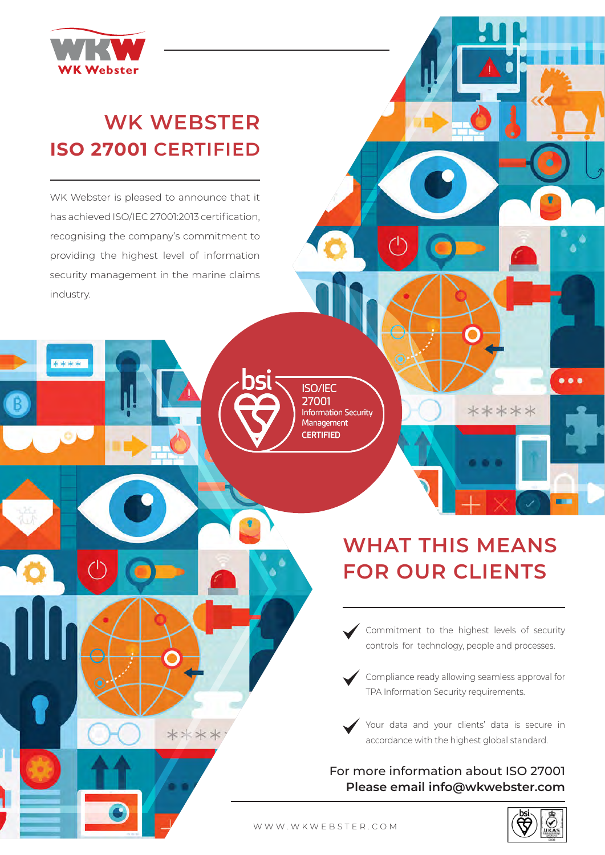$\bullet$   $\bullet$ 



## **WK WEBSTER ISO 27001 CERTIFIED**

WK Webster is pleased to announce that it has achieved ISO/IEC 27001:2013 certification, recognising the company's commitment to providing the highest level of information security management in the marine claims industry.

**WK Webster**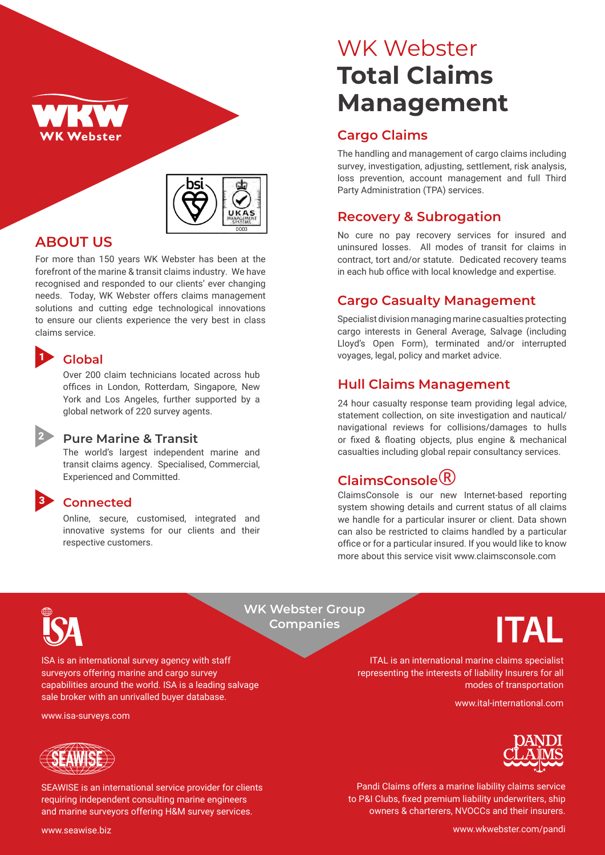



#### **ABOUT US**

For more than 150 years WK Webster has been at the forefront of the marine & transit claims industry. We have recognised and responded to our clients' ever changing needs. Today, WK Webster offers claims management solutions and cutting edge technological innovations to ensure our clients experience the very best in class claims service.

#### **Global**

1

3

2

Over 200 claim technicians located across hub offices in London, Rotterdam, Singapore, New York and Los Angeles, further supported by a global network of 220 survey agents.

#### **Pure Marine & Transit**

The world's largest independent marine and transit claims agency. Specialised, Commercial, Experienced and Committed.

#### **Connected**

Online, secure, customised, integrated and innovative systems for our clients and their respective customers.

# WK Webster **Total Claims Management**

#### **Cargo Claims**

The handling and management of cargo claims including survey, investigation, adjusting, settlement, risk analysis, loss prevention, account management and full Third Party Administration (TPA) services.

#### **Recovery & Subrogation**

No cure no pay recovery services for insured and uninsured losses. All modes of transit for claims in contract, tort and/or statute. Dedicated recovery teams in each hub office with local knowledge and expertise.

#### **Cargo Casualty Management**

Specialist division managing marine casualties protecting cargo interests in General Average, Salvage (including Lloyd's Open Form), terminated and/or interrupted voyages, legal, policy and market advice.

#### **Hull Claims Management**

24 hour casualty response team providing legal advice, statement collection, on site investigation and nautical/ navigational reviews for collisions/damages to hulls or fixed & floating objects, plus engine & mechanical casualties including global repair consultancy services.

## **ClaimsConsole**®

ClaimsConsole is our new Internet-based reporting system showing details and current status of all claims we handle for a particular insurer or client. Data shown can also be restricted to claims handled by a particular office or for a particular insured. If you would like to know more about this service visit www.claimsconsole.com



**WK Webster Group Companies**

ISA is an international survey agency with staff surveyors offering marine and cargo survey capabilities around the world. ISA is a leading salvage sale broker with an unrivalled buyer database.

www.isa-surveys.com



SEAWISE is an international service provider for clients requiring independent consulting marine engineers and marine surveyors offering H&M survey services.



ITAL is an international marine claims specialist representing the interests of liability Insurers for all modes of transportation

www.ital-international.com



Pandi Claims offers a marine liability claims service to P&I Clubs, fixed premium liability underwriters, ship owners & charterers, NVOCCs and their insurers.

www.seawise.biz

www.wkwebster.com/pandi